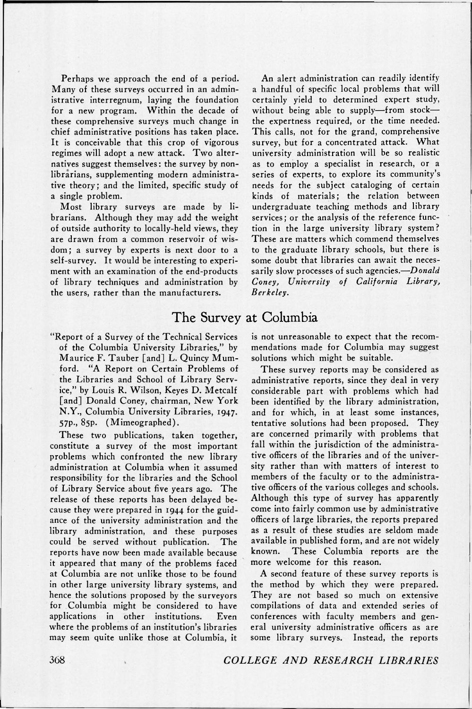Perhaps we approach the end of a period. Many of these surveys occurred in an administrative interregnum, laying the foundation for a new program. Within the decade of these comprehensive surveys much change in chief administrative positions has taken place. It is conceivable that this crop of vigorous regimes will adopt a new attack. Two alternatives suggest themselves: the survey by nonlibrarians, supplementing modern administrative theory; and the limited, specific study of a single problem.

Most library surveys are made by librarians. Although they may add the weight of outside authority to locally-held views, they are drawn from a common reservoir of wisdom; a survey by experts is next door to a self-survey. It would be interesting to experiment with an examination of the end-products of library techniques and administration by the users, rather than the manufacturers.

## The Survey at Columbia

"Report of a Survey of the Technical Services of the Columbia University Libraries," by Maurice F. Tauber [and] L. Quincy Mumford. "A Report on Certain Problems of the Libraries and School of Library Service," by Louis R. Wilson, Keyes D. Metcalf [and] Donald Coney, chairman, New York N.Y., Columbia University Libraries, 1947. 57P-. 85p. (Mimeographed).

These two publications, taken together, constitute a survey of the most important problems which confronted the new library administration at Columbia when it assumed responsibility for the libraries and the School of Library Service about five years ago. The release of these reports has been delayed because they were prepared in 1944 for the guidance of the university administration and the library administration, and these purposes could be served without publication. The reports have now been made available because it appeared that many of the problems faced at Columbia are not unlike those to be found in other large university library systems, and hence the solutions proposed by the surveyors for Columbia might be considered to have applications in other institutions. Even where the problems of an institution's libraries may seem quite unlike those at Columbia, it

An alert administration can readily identify a handful of specific local problems that will certainly yield to determined expert study, without being able to supply—from stock the expertness required, or the time needed. This calls, not for the grand, comprehensive survey, but for a concentrated attack. What university administration will be so realistic as to employ a specialist in research, or a series of experts, to explore its community's needs for the subject cataloging of certain kinds of materials; the relation between undergraduate teaching methods and library services; or the analysis of the reference function in the large university library system? These are matters which commend themselves to the graduate library schools, but there is some doubt that libraries can await the necessarily slow processes of such agencies.—*Donald Coney, University of California Library, Berkeley.* 

is not unreasonable to expect that the recommendations made for Columbia may suggest solutions which might be suitable.

These survey reports may be considered as administrative reports, since they deal in very considerable part with problems which had been identified by the library administration, and for which, in at least some instances, tentative solutions had been proposed. They are concerned primarily with problems that fall within the jurisdiction of the administrative officers of the libraries and of the university rather than with matters of interest to members of the faculty or to the administrative officers of the various colleges and schools. Although this type of survey has apparently come into fairly common use by administrative officers of large libraries, the reports prepared as a result of these studies are seldom made available in published form, and are not widely known. These Columbia reports are the more welcome for this reason.

A second feature of these survey reports is the method by which they were prepared. They are not based so much on extensive compilations of data and extended series of conferences with faculty members and general university administrative officers as are some library surveys. Instead, the reports

368 *COLLEGE AND RESEARCH. LIBRARIES*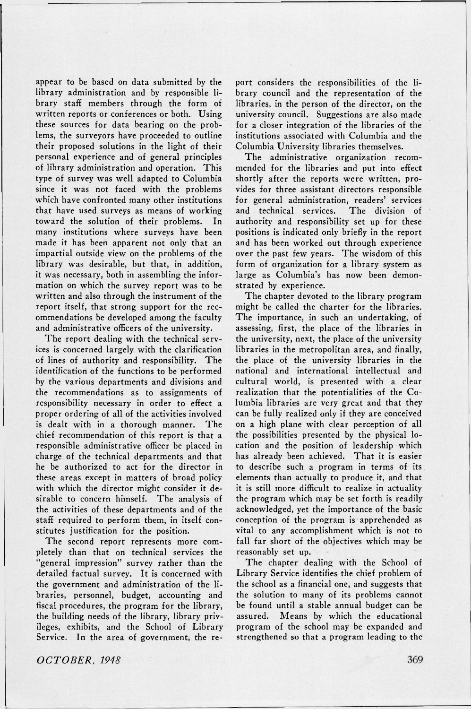appear to be based on data submitted by the library administration and by responsible library staff members through the form of written reports or conferences or both. Using these sources for data bearing on the problems, the surveyors have proceeded to outline their proposed solutions in the light of their personal experience and of general principles of library administration and operation. This type of survey was well adapted to Columbia since it was not faced with the problems which have confronted many other institutions that have used surveys as means of working toward the solution of their problems. In many institutions where surveys have been made it has been apparent not only that an impartial outside view on the problems of the library was desirable, but that, in addition, it was necessary, both in assembling the information on which the survey report was to be written and also through the instrument of the report itself, that strong support for the recommendations be developed among the faculty and administrative officers of the university.

The report dealing with the technical services is concerned largely with the clarification of lines of authority and responsibility. The identification of the functions to be performed by the various departments and divisions and the recommendations as to assignments of responsibility necessary in order to effect a proper ordering of all of the activities involved is dealt with in a thorough manner. The chief recommendation of this report is that a responsible administrative officer be placed in charge of the technical departments and that he be authorized to act for the director in these areas except in matters of broad policy with which the director might consider it desirable to concern himself. The analysis of the activities of these departments and of the staff required to perform them, in itself constitutes justification for the position.

The second report represents more completely than that on technical services the 'general impression" survey rather than the detailed factual survey. It is concerned with the government and administration of the libraries, personnel, budget, accounting and fiscal procedures, the program for the library, the building needs of the library, library privileges, exhibits, and the School of Library Service. In the area of government, the report considers the responsibilities of the library council and the representation of the libraries, in the person of the director, on the university council. Suggestions are also made for a closer integration of the libraries of the institutions associated with Columbia and the Columbia University libraries themselves.

The administrative organization recommended for the libraries and put into effect shortly after the reports were written, provides for three assistant directors responsible for general administration, readers' services and technical services. The division of authority and responsibility set up for these positions is indicated only briefly in the report and has been worked out through experience over the past few years. The wisdom of this form of organization for a library system as large as Columbia's has now been demonstrated by experience.

The chapter devoted to the library program might be called the charter for the libraries. The importance, in such an undertaking, of assessing, first, the place of the libraries in the university, next, the place of the university libraries in the metropolitan area, and finally, the place of the university libraries in the national and international intellectual and cultural world, is presented with a clear realization that the potentialities of the Columbia libraries are very great and that they can be fully realized only if they are conceived on a high plane with clear perception of all the possibilities presented by the physical location and the position of leadership which has already been achieved. That it is easier to describe such a program in terms of its elements than actually to produce it, and that it is still more difficult to realize in actuality the program which may be set forth is readily acknowledged, yet the importance of the basic conception of the program is apprehended as vital to any accomplishment which is not to fall far short of the objectives which may be reasonably set up.

The chapter dealing with the School of Library Service identifies the chief problem of the school as a financial one, and suggests that the solution to many of its problems cannot be found until a stable annual budget can be assured. Means by which the educational program of the school may be expanded and strengthened so that a program leading to the

*OCTOBER, 1948*